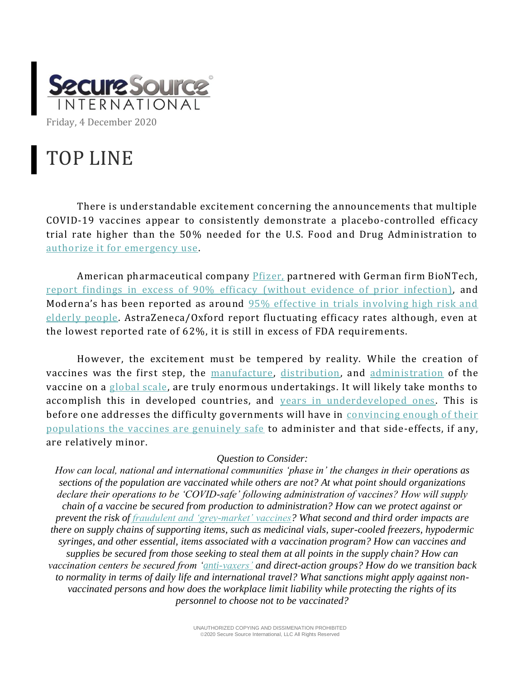

## TOP LINE

There is understandable excitement concerning the announcements that multiple COVID-19 vaccines appear to consistently demonstrate a placebo-controlled efficacy trial rate higher than the 50% needed for the U.S. Food and Drug Administration to [authorize it for emergency use.](https://www.fda.gov/media/142749/download)

American pharmaceutical company *Pfizer*, partnered with German firm BioNTech, [report findings in excess of 90% efficacy](https://www.pfizer.com/news/press-release/press-release-detail/pfizer-and-biontech-conclude-phase-3-study-covid-19-vaccine) (without evidence of prior infection), and Moderna's has been reported as around [95% effective in trials involving high risk and](https://www.bmj.com/content/371/bmj.m4471)  [elderly people.](https://www.bmj.com/content/371/bmj.m4471) AstraZeneca/Oxford report fluctuating efficacy rates although, even at the lowest reported rate of 62%, it is still in excess of FDA requirements.

However, the excitement must be tempered by reality. While the creation of vaccines was the first step, the [manufacture,](https://www.cnbc.com/2020/11/18/what-are-the-big-challenges-to-mass-producing-a-coronavirus-vaccine.html) [distribution,](https://www.devex.com/news/opinion-the-unspoken-covid-19-vaccine-challenges-distribution-and-corruption-98437) and [administration](https://pharmanewsintel.com/news/overcoming-the-top-challenges-of-covid-19-vaccine-distribution) of the vaccine on a [global scale,](https://www.nature.com/articles/d41586-020-03334-w) are truly enormous undertakings. It will likely take months to accomplish this in developed countries, and [years in underdeveloped ones.](https://www.npr.org/sections/goatsandsoda/2020/11/05/931397094/poor-countries-fall-behind-in-race-to-reserve-covid-19-vaccine) This is before one addresses the difficulty governments will have in convincing enough of their [populations the vaccines are genuinely safe](https://www.bmj.com/content/370/bmj.m3209) to administer and that side-effects, if any, are relatively minor.

## *Question to Consider:*

*How can local, national and international communities 'phase in' the changes in their operations as sections of the population are vaccinated while others are not? At what point should organizations declare their operations to be 'COVID-safe' following administration of vaccines? How will supply chain of a vaccine be secured from production to administration? How can we protect against or prevent the risk of [fraudulent and 'grey-market' vaccines?](https://www.ice.gov/news/releases/ice-pivots-combat-covid-19-vaccine-fraud-launch-operation-stolen-promise-20) What second and third order impacts are there on supply chains of supporting items, such as medicinal vials, super-cooled freezers, hypodermic syringes, and other essential, items associated with a vaccination program? How can vaccines and supplies be secured from those seeking to steal them at all points in the supply chain? How can vaccination centers be secured from ['anti-vaxers'](https://www.thelancet.com/journals/landig/article/PIIS2589-7500(20)30227-2/fulltext) and direct-action groups? How do we transition back to normality in terms of daily life and international travel? What sanctions might apply against nonvaccinated persons and how does the workplace limit liability while protecting the rights of its personnel to choose not to be vaccinated?*